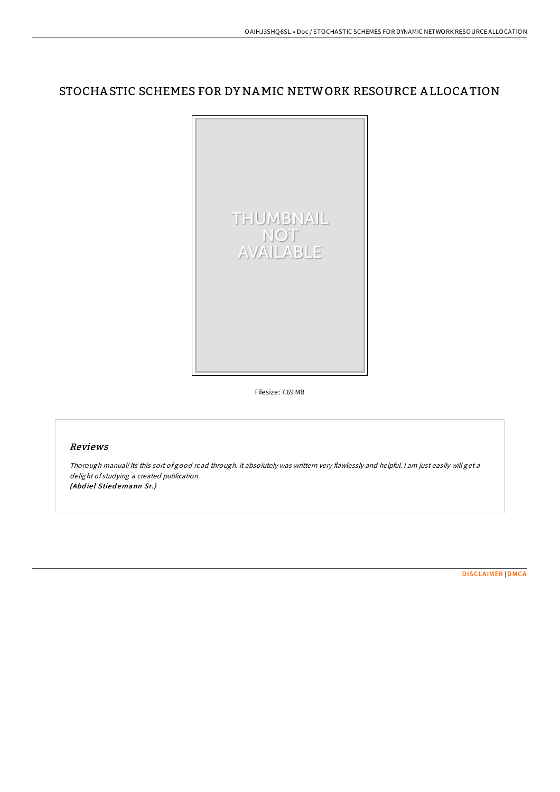# STOCHA STIC SCHEMES FOR DY NAMIC NETWORK RESOURCE A LLOCA TION



Filesize: 7.69 MB

#### Reviews

Thorough manual! Its this sort of good read through. it absolutely was writtern very flawlessly and helpful. <sup>I</sup> am just easily will get <sup>a</sup> delight of studying <sup>a</sup> created publication. (Abdiel Stiedemann Sr.)

[DISCLAIMER](http://almighty24.tech/disclaimer.html) | [DMCA](http://almighty24.tech/dmca.html)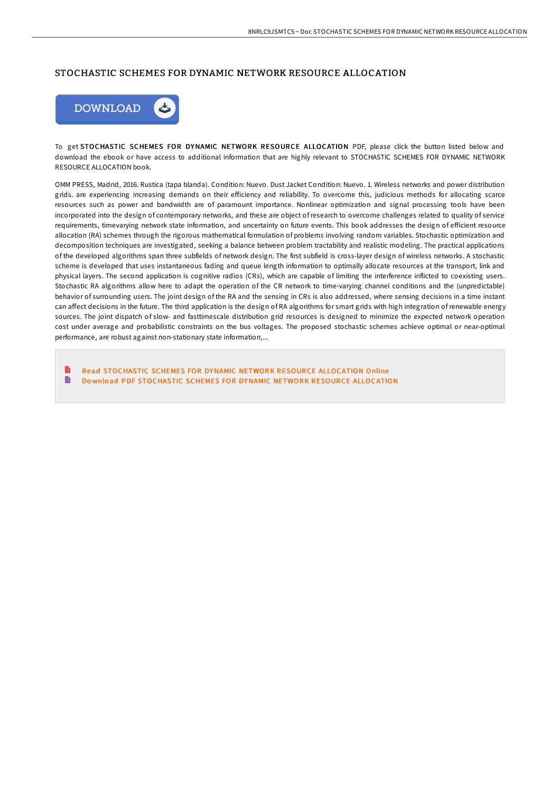## STOCHASTIC SCHEMES FOR DYNAMIC NETWORK RESOURCE ALLOCATION



To get STOCHASTIC SCHEMES FOR DYNAMIC NETWORK RESOURCE ALLOCATION PDF, please click the button listed below and download the ebook or have access to additional information that are highly relevant to STOCHASTIC SCHEMES FOR DYNAMIC NETWORK RESOURCE ALLOCATION book.

OMM PRESS, Madrid, 2016. Rustica (tapa blanda). Condition: Nuevo. Dust Jacket Condition: Nuevo. 1. Wireless networks and power distribution grids. are experiencing increasing demands on their efficiency and reliability. To overcome this, judicious methods for allocating scarce resources such as power and bandwidth are of paramount importance. Nonlinear optimization and signal processing tools have been incorporated into the design of contemporary networks, and these are object of research to overcome challenges related to quality of service requirements, timevarying network state information, and uncertainty on future events. This book addresses the design of efficient resource allocation (RA) schemes through the rigorous mathematical formulation of problems involving random variables. Stochastic optimization and decomposition techniques are investigated, seeking a balance between problem tractability and realistic modeling. The practical applications of the developed algorithms span three subfields of network design. The first subfield is cross-layer design of wireless networks. A stochastic scheme is developed that uses instantaneous fading and queue length information to optimally allocate resources at the transport, link and physical layers. The second application is cognitive radios (CRs), which are capable of limiting the interference inflicted to coexisting users. Stochastic RA algorithms allow here to adapt the operation of the CR network to time-varying channel conditions and the (unpredictable) behavior of surrounding users. The joint design of the RA and the sensing in CRs is also addressed, where sensing decisions in a time instant can affect decisions in the future. The third application is the design of RA algorithms for smart grids with high integration of renewable energy sources. The joint dispatch of slow- and fasttimescale distribution grid resources is designed to minimize the expected network operation cost under average and probabilistic constraints on the bus voltages. The proposed stochastic schemes achieve optimal or near-optimal performance, are robust against non-stationary state information,...

Read [STOCHASTIC](http://almighty24.tech/stochastic-schemes-for-dynamic-network-resource-.html) SCHEMES FOR DYNAMIC NETWORK RESOURCE ALLOCATION Online B Do wnlo ad PDF [STOCHASTIC](http://almighty24.tech/stochastic-schemes-for-dynamic-network-resource-.html) SCHEMES FOR DYNAMIC NETWORK RESOURCE ALLOCATION